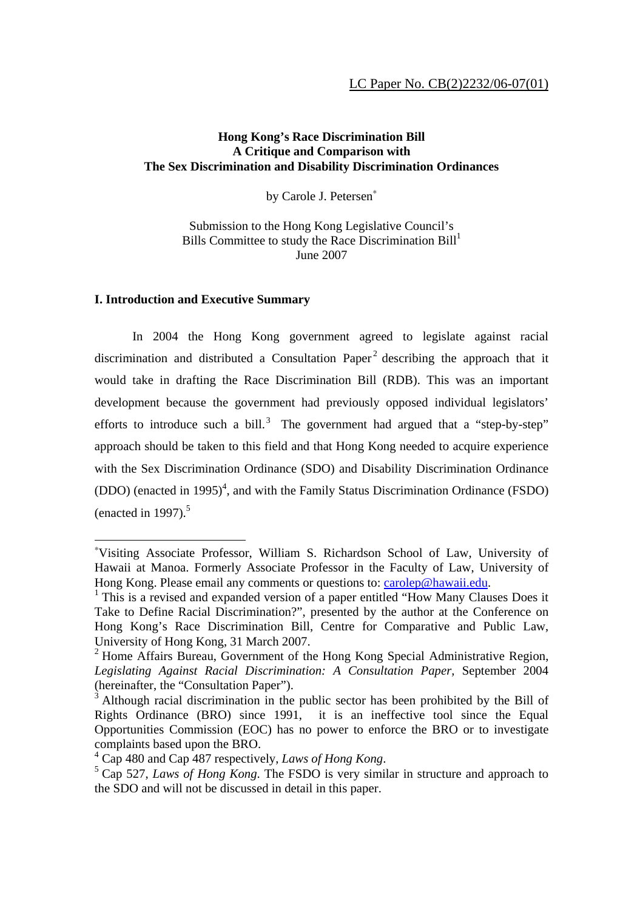# **Hong Kong's Race Discrimination Bill A Critique and Comparison with The Sex Discrimination and Disability Discrimination Ordinances**

by Carole J. Petersen<sup>∗</sup>

Submission to the Hong Kong Legislative Council's Bills Committee to study the Race Discrimination  $Bill<sup>1</sup>$ June 2007

## **I. Introduction and Executive Summary**

 $\overline{a}$ 

In 2004 the Hong Kong government agreed to legislate against racial discrimination and distributed a Consultation Paper<sup>2</sup> describing the approach that it would take in drafting the Race Discrimination Bill (RDB). This was an important development because the government had previously opposed individual legislators' efforts to introduce such a bill.<sup>3</sup> The government had argued that a "step-by-step" approach should be taken to this field and that Hong Kong needed to acquire experience with the Sex Discrimination Ordinance (SDO) and Disability Discrimination Ordinance  $(DDO)$  (enacted in 1995)<sup>4</sup>, and with the Family Status Discrimination Ordinance (FSDO) (enacted in 1997). $5$ 

<sup>∗</sup> Visiting Associate Professor, William S. Richardson School of Law, University of Hawaii at Manoa. Formerly Associate Professor in the Faculty of Law, University of Hong Kong. Please email any comments or questions to: carolep@hawaii.edu.

 $1$  This is a revised and expanded version of a paper entitled "How Many Clauses Does it Take to Define Racial Discrimination?", presented by the author at the Conference on Hong Kong's Race Discrimination Bill, Centre for Comparative and Public Law, University of Hong Kong, 31 March 2007.

<sup>&</sup>lt;sup>2</sup> Home Affairs Bureau, Government of the Hong Kong Special Administrative Region, *Legislating Against Racial Discrimination: A Consultation Paper,* September 2004 (hereinafter, the "Consultation Paper").

 $3$  Although racial discrimination in the public sector has been prohibited by the Bill of Rights Ordinance (BRO) since 1991, it is an ineffective tool since the Equal Opportunities Commission (EOC) has no power to enforce the BRO or to investigate complaints based upon the BRO.

<sup>&</sup>lt;sup>4</sup> Cap 480 and Cap 487 respectively, *Laws of Hong Kong*.

<sup>&</sup>lt;sup>5</sup> Cap 527, *Laws of Hong Kong*. The FSDO is very similar in structure and approach to the SDO and will not be discussed in detail in this paper.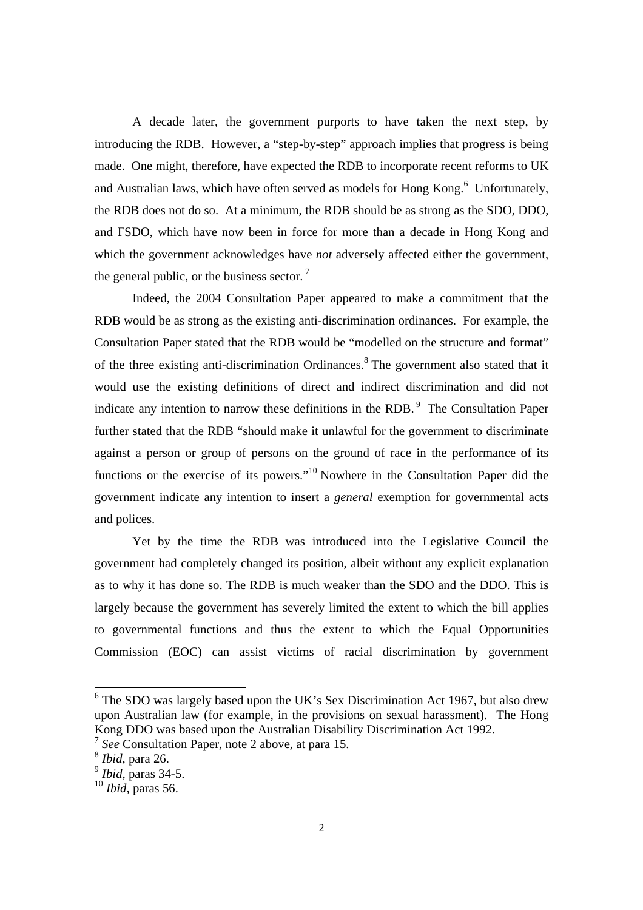A decade later, the government purports to have taken the next step, by introducing the RDB. However, a "step-by-step" approach implies that progress is being made. One might, therefore, have expected the RDB to incorporate recent reforms to UK and Australian laws, which have often served as models for Hong Kong. $<sup>6</sup>$  Unfortunately,</sup> the RDB does not do so. At a minimum, the RDB should be as strong as the SDO, DDO, and FSDO, which have now been in force for more than a decade in Hong Kong and which the government acknowledges have *not* adversely affected either the government, the general public, or the business sector.  $7$ 

Indeed, the 2004 Consultation Paper appeared to make a commitment that the RDB would be as strong as the existing anti-discrimination ordinances. For example, the Consultation Paper stated that the RDB would be "modelled on the structure and format" of the three existing anti-discrimination Ordinances.<sup>8</sup> The government also stated that it would use the existing definitions of direct and indirect discrimination and did not indicate any intention to narrow these definitions in the RDB.<sup>9</sup> The Consultation Paper further stated that the RDB "should make it unlawful for the government to discriminate against a person or group of persons on the ground of race in the performance of its functions or the exercise of its powers."10 Nowhere in the Consultation Paper did the government indicate any intention to insert a *general* exemption for governmental acts and polices.

Yet by the time the RDB was introduced into the Legislative Council the government had completely changed its position, albeit without any explicit explanation as to why it has done so. The RDB is much weaker than the SDO and the DDO. This is largely because the government has severely limited the extent to which the bill applies to governmental functions and thus the extent to which the Equal Opportunities Commission (EOC) can assist victims of racial discrimination by government

<sup>&</sup>lt;sup>6</sup> The SDO was largely based upon the UK's Sex Discrimination Act 1967, but also drew upon Australian law (for example, in the provisions on sexual harassment). The Hong Kong DDO was based upon the Australian Disability Discrimination Act 1992.

<sup>7</sup> *See* Consultation Paper, note 2 above, at para 15.

<sup>8</sup> *Ibid,* para 26.

<sup>9</sup> *Ibid,* paras 34-5.

<sup>10</sup> *Ibid,* paras 56.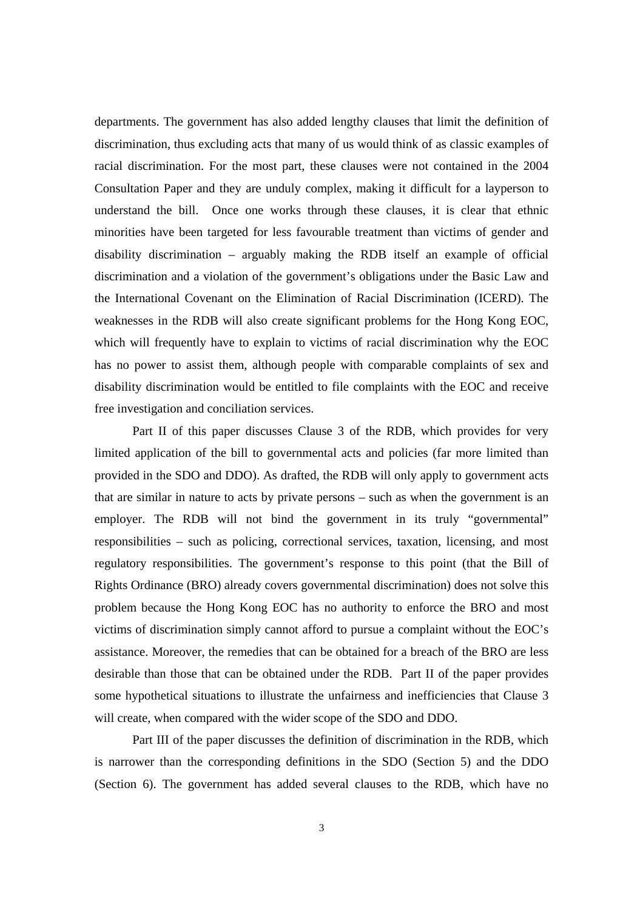departments. The government has also added lengthy clauses that limit the definition of discrimination, thus excluding acts that many of us would think of as classic examples of racial discrimination. For the most part, these clauses were not contained in the 2004 Consultation Paper and they are unduly complex, making it difficult for a layperson to understand the bill. Once one works through these clauses, it is clear that ethnic minorities have been targeted for less favourable treatment than victims of gender and disability discrimination – arguably making the RDB itself an example of official discrimination and a violation of the government's obligations under the Basic Law and the International Covenant on the Elimination of Racial Discrimination (ICERD). The weaknesses in the RDB will also create significant problems for the Hong Kong EOC, which will frequently have to explain to victims of racial discrimination why the EOC has no power to assist them, although people with comparable complaints of sex and disability discrimination would be entitled to file complaints with the EOC and receive free investigation and conciliation services.

Part II of this paper discusses Clause 3 of the RDB, which provides for very limited application of the bill to governmental acts and policies (far more limited than provided in the SDO and DDO). As drafted, the RDB will only apply to government acts that are similar in nature to acts by private persons – such as when the government is an employer. The RDB will not bind the government in its truly "governmental" responsibilities – such as policing, correctional services, taxation, licensing, and most regulatory responsibilities. The government's response to this point (that the Bill of Rights Ordinance (BRO) already covers governmental discrimination) does not solve this problem because the Hong Kong EOC has no authority to enforce the BRO and most victims of discrimination simply cannot afford to pursue a complaint without the EOC's assistance. Moreover, the remedies that can be obtained for a breach of the BRO are less desirable than those that can be obtained under the RDB. Part II of the paper provides some hypothetical situations to illustrate the unfairness and inefficiencies that Clause 3 will create, when compared with the wider scope of the SDO and DDO.

Part III of the paper discusses the definition of discrimination in the RDB, which is narrower than the corresponding definitions in the SDO (Section 5) and the DDO (Section 6). The government has added several clauses to the RDB, which have no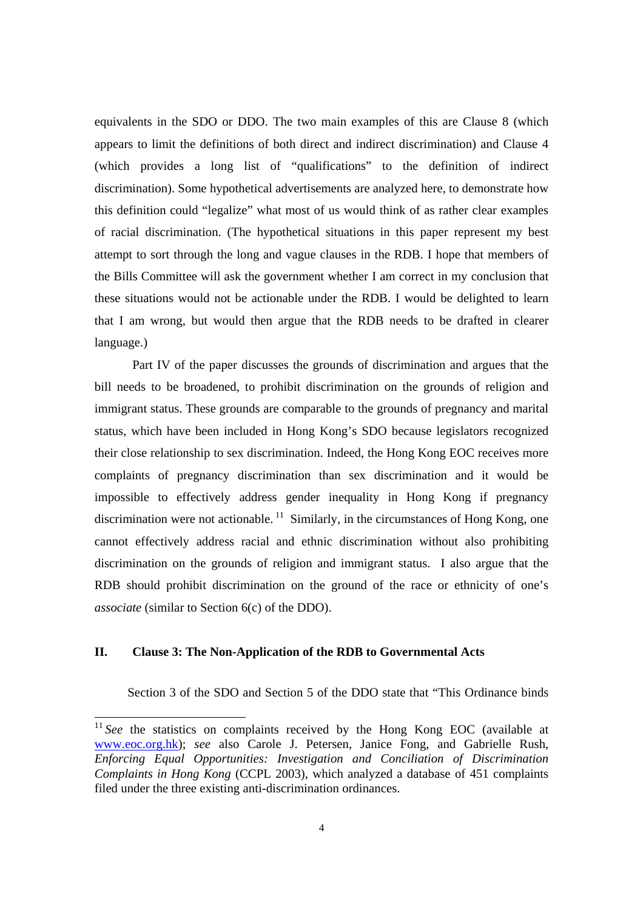equivalents in the SDO or DDO. The two main examples of this are Clause 8 (which appears to limit the definitions of both direct and indirect discrimination) and Clause 4 (which provides a long list of "qualifications" to the definition of indirect discrimination). Some hypothetical advertisements are analyzed here, to demonstrate how this definition could "legalize" what most of us would think of as rather clear examples of racial discrimination. (The hypothetical situations in this paper represent my best attempt to sort through the long and vague clauses in the RDB. I hope that members of the Bills Committee will ask the government whether I am correct in my conclusion that these situations would not be actionable under the RDB. I would be delighted to learn that I am wrong, but would then argue that the RDB needs to be drafted in clearer language.)

Part IV of the paper discusses the grounds of discrimination and argues that the bill needs to be broadened, to prohibit discrimination on the grounds of religion and immigrant status. These grounds are comparable to the grounds of pregnancy and marital status, which have been included in Hong Kong's SDO because legislators recognized their close relationship to sex discrimination. Indeed, the Hong Kong EOC receives more complaints of pregnancy discrimination than sex discrimination and it would be impossible to effectively address gender inequality in Hong Kong if pregnancy discrimination were not actionable.  $^{11}$  Similarly, in the circumstances of Hong Kong, one cannot effectively address racial and ethnic discrimination without also prohibiting discrimination on the grounds of religion and immigrant status. I also argue that the RDB should prohibit discrimination on the ground of the race or ethnicity of one's *associate* (similar to Section 6(c) of the DDO).

### **II. Clause 3: The Non-Application of the RDB to Governmental Acts**

 $\overline{a}$ 

Section 3 of the SDO and Section 5 of the DDO state that "This Ordinance binds

<sup>&</sup>lt;sup>11</sup> See the statistics on complaints received by the Hong Kong EOC (available at www.eoc.org.hk); *see* also Carole J. Petersen, Janice Fong, and Gabrielle Rush, *Enforcing Equal Opportunities: Investigation and Conciliation of Discrimination Complaints in Hong Kong* (CCPL 2003), which analyzed a database of 451 complaints filed under the three existing anti-discrimination ordinances.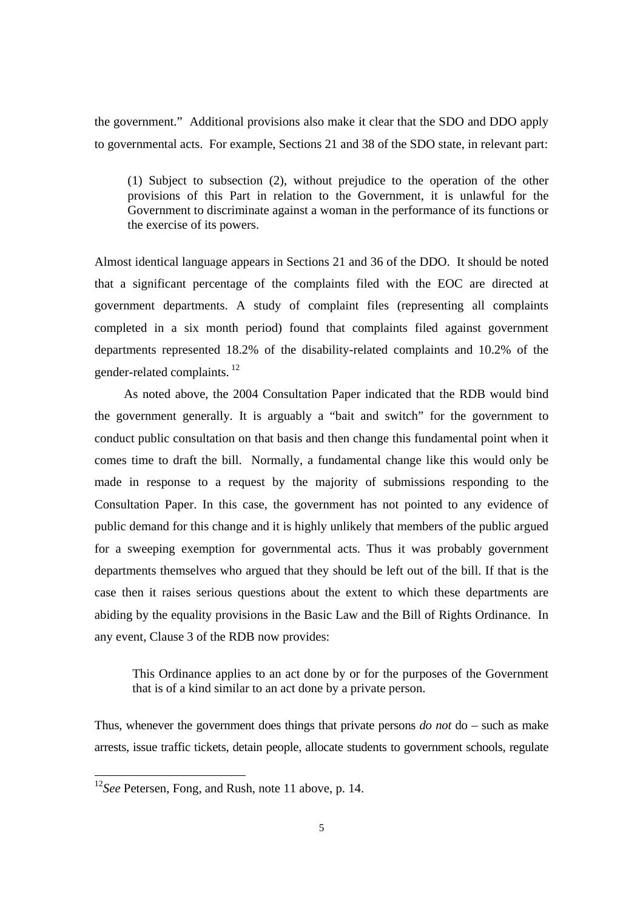the government." Additional provisions also make it clear that the SDO and DDO apply to governmental acts. For example, Sections 21 and 38 of the SDO state, in relevant part:

(1) Subject to subsection (2), without prejudice to the operation of the other provisions of this Part in relation to the Government, it is unlawful for the Government to discriminate against a woman in the performance of its functions or the exercise of its powers.

Almost identical language appears in Sections 21 and 36 of the DDO. It should be noted that a significant percentage of the complaints filed with the EOC are directed at government departments. A study of complaint files (representing all complaints completed in a six month period) found that complaints filed against government departments represented 18.2% of the disability-related complaints and 10.2% of the gender-related complaints. $12$ 

 As noted above, the 2004 Consultation Paper indicated that the RDB would bind the government generally. It is arguably a "bait and switch" for the government to conduct public consultation on that basis and then change this fundamental point when it comes time to draft the bill. Normally, a fundamental change like this would only be made in response to a request by the majority of submissions responding to the Consultation Paper. In this case, the government has not pointed to any evidence of public demand for this change and it is highly unlikely that members of the public argued for a sweeping exemption for governmental acts. Thus it was probably government departments themselves who argued that they should be left out of the bill. If that is the case then it raises serious questions about the extent to which these departments are abiding by the equality provisions in the Basic Law and the Bill of Rights Ordinance. In any event, Clause 3 of the RDB now provides:

This Ordinance applies to an act done by or for the purposes of the Government that is of a kind similar to an act done by a private person.

Thus, whenever the government does things that private persons *do not* do – such as make arrests, issue traffic tickets, detain people, allocate students to government schools, regulate

l

<sup>12</sup>*See* Petersen, Fong, and Rush, note 11 above, p. 14.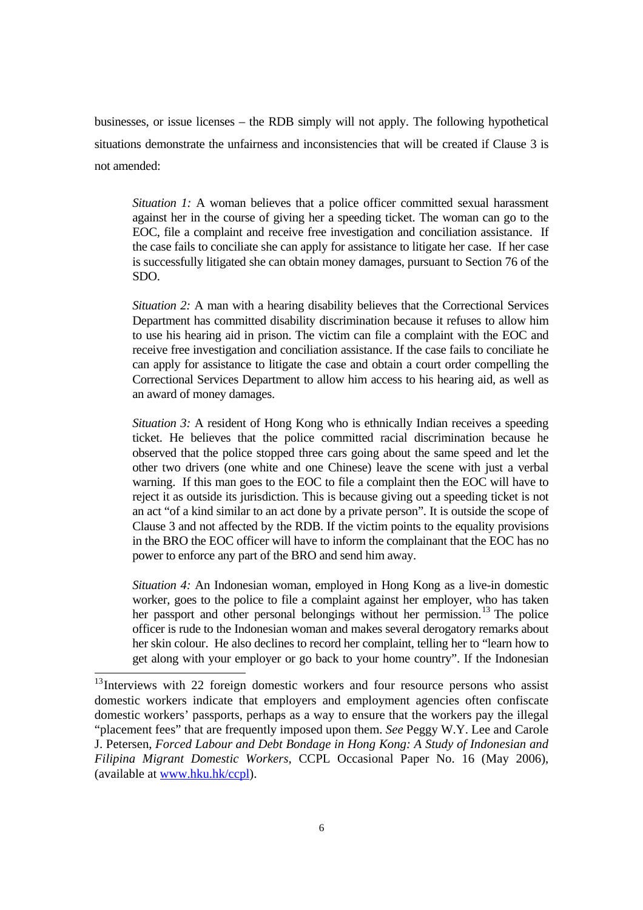businesses, or issue licenses – the RDB simply will not apply. The following hypothetical situations demonstrate the unfairness and inconsistencies that will be created if Clause 3 is not amended:

*Situation 1:* A woman believes that a police officer committed sexual harassment against her in the course of giving her a speeding ticket. The woman can go to the EOC, file a complaint and receive free investigation and conciliation assistance. If the case fails to conciliate she can apply for assistance to litigate her case. If her case is successfully litigated she can obtain money damages, pursuant to Section 76 of the SDO.

*Situation 2:* A man with a hearing disability believes that the Correctional Services Department has committed disability discrimination because it refuses to allow him to use his hearing aid in prison. The victim can file a complaint with the EOC and receive free investigation and conciliation assistance. If the case fails to conciliate he can apply for assistance to litigate the case and obtain a court order compelling the Correctional Services Department to allow him access to his hearing aid, as well as an award of money damages.

*Situation 3:* A resident of Hong Kong who is ethnically Indian receives a speeding ticket. He believes that the police committed racial discrimination because he observed that the police stopped three cars going about the same speed and let the other two drivers (one white and one Chinese) leave the scene with just a verbal warning. If this man goes to the EOC to file a complaint then the EOC will have to reject it as outside its jurisdiction. This is because giving out a speeding ticket is not an act "of a kind similar to an act done by a private person". It is outside the scope of Clause 3 and not affected by the RDB. If the victim points to the equality provisions in the BRO the EOC officer will have to inform the complainant that the EOC has no power to enforce any part of the BRO and send him away.

 *Situation 4:* An Indonesian woman, employed in Hong Kong as a live-in domestic worker, goes to the police to file a complaint against her employer, who has taken her passport and other personal belongings without her permission.<sup>13</sup> The police officer is rude to the Indonesian woman and makes several derogatory remarks about her skin colour. He also declines to record her complaint, telling her to "learn how to get along with your employer or go back to your home country". If the Indonesian

l

<sup>&</sup>lt;sup>13</sup>Interviews with 22 foreign domestic workers and four resource persons who assist domestic workers indicate that employers and employment agencies often confiscate domestic workers' passports, perhaps as a way to ensure that the workers pay the illegal "placement fees" that are frequently imposed upon them. *See* Peggy W.Y. Lee and Carole J. Petersen, *Forced Labour and Debt Bondage in Hong Kong: A Study of Indonesian and Filipina Migrant Domestic Workers,* CCPL Occasional Paper No. 16 (May 2006), (available at www.hku.hk/ccpl).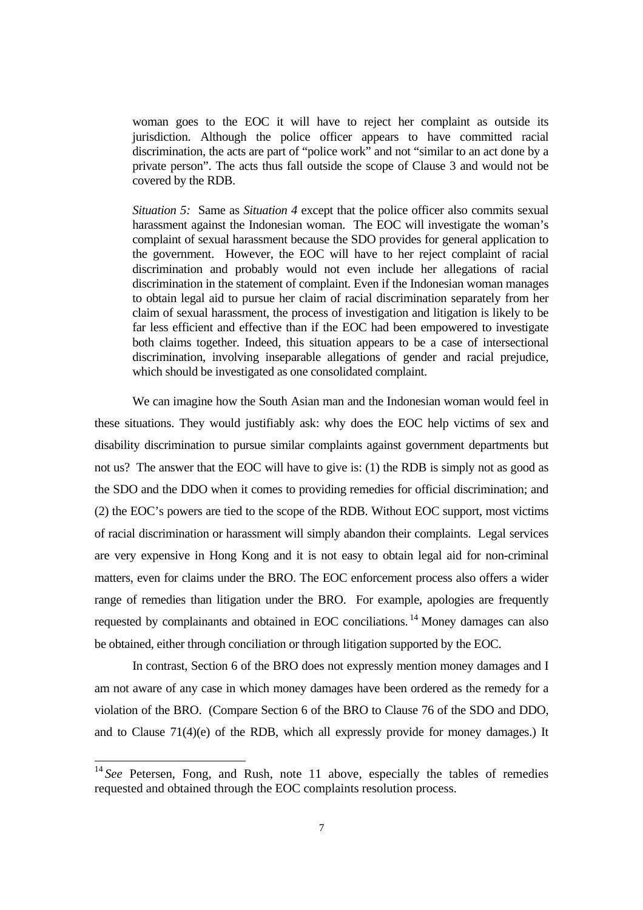woman goes to the EOC it will have to reject her complaint as outside its jurisdiction. Although the police officer appears to have committed racial discrimination, the acts are part of "police work" and not "similar to an act done by a private person". The acts thus fall outside the scope of Clause 3 and would not be covered by the RDB.

*Situation 5:* Same as *Situation 4* except that the police officer also commits sexual harassment against the Indonesian woman. The EOC will investigate the woman's complaint of sexual harassment because the SDO provides for general application to the government. However, the EOC will have to her reject complaint of racial discrimination and probably would not even include her allegations of racial discrimination in the statement of complaint. Even if the Indonesian woman manages to obtain legal aid to pursue her claim of racial discrimination separately from her claim of sexual harassment, the process of investigation and litigation is likely to be far less efficient and effective than if the EOC had been empowered to investigate both claims together. Indeed, this situation appears to be a case of intersectional discrimination, involving inseparable allegations of gender and racial prejudice, which should be investigated as one consolidated complaint.

 We can imagine how the South Asian man and the Indonesian woman would feel in these situations. They would justifiably ask: why does the EOC help victims of sex and disability discrimination to pursue similar complaints against government departments but not us? The answer that the EOC will have to give is: (1) the RDB is simply not as good as the SDO and the DDO when it comes to providing remedies for official discrimination; and (2) the EOC's powers are tied to the scope of the RDB. Without EOC support, most victims of racial discrimination or harassment will simply abandon their complaints. Legal services are very expensive in Hong Kong and it is not easy to obtain legal aid for non-criminal matters, even for claims under the BRO. The EOC enforcement process also offers a wider range of remedies than litigation under the BRO. For example, apologies are frequently requested by complainants and obtained in EOC conciliations. 14 Money damages can also be obtained, either through conciliation or through litigation supported by the EOC.

 In contrast, Section 6 of the BRO does not expressly mention money damages and I am not aware of any case in which money damages have been ordered as the remedy for a violation of the BRO. (Compare Section 6 of the BRO to Clause 76 of the SDO and DDO, and to Clause 71(4)(e) of the RDB, which all expressly provide for money damages.) It

<sup>&</sup>lt;sup>14</sup> See Petersen, Fong, and Rush, note 11 above, especially the tables of remedies requested and obtained through the EOC complaints resolution process.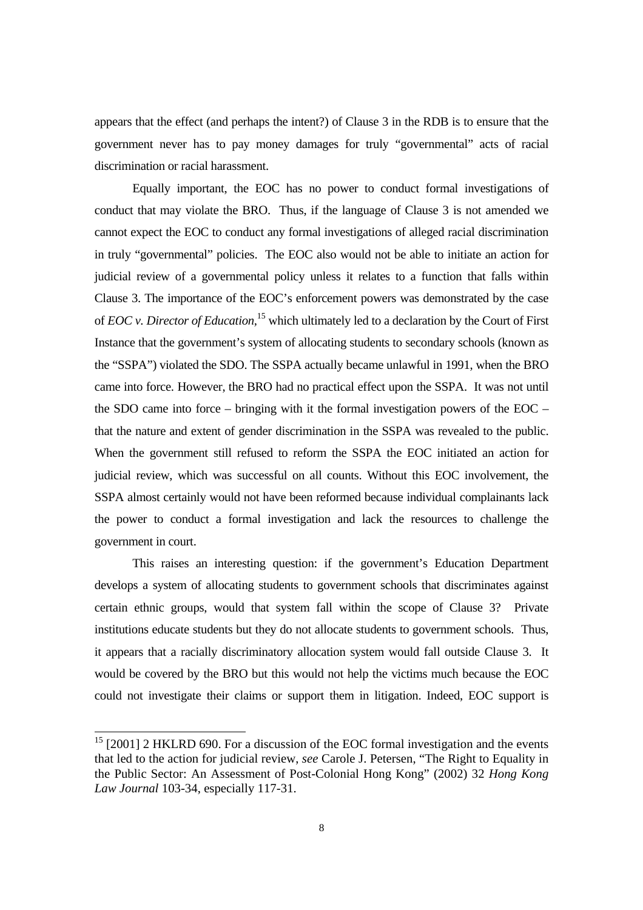appears that the effect (and perhaps the intent?) of Clause 3 in the RDB is to ensure that the government never has to pay money damages for truly "governmental" acts of racial discrimination or racial harassment.

 Equally important, the EOC has no power to conduct formal investigations of conduct that may violate the BRO. Thus, if the language of Clause 3 is not amended we cannot expect the EOC to conduct any formal investigations of alleged racial discrimination in truly "governmental" policies. The EOC also would not be able to initiate an action for judicial review of a governmental policy unless it relates to a function that falls within Clause 3. The importance of the EOC's enforcement powers was demonstrated by the case of *EOC v. Director of Education,*15 which ultimately led to a declaration by the Court of First Instance that the government's system of allocating students to secondary schools (known as the "SSPA") violated the SDO. The SSPA actually became unlawful in 1991, when the BRO came into force. However, the BRO had no practical effect upon the SSPA. It was not until the SDO came into force – bringing with it the formal investigation powers of the EOC – that the nature and extent of gender discrimination in the SSPA was revealed to the public. When the government still refused to reform the SSPA the EOC initiated an action for judicial review, which was successful on all counts. Without this EOC involvement, the SSPA almost certainly would not have been reformed because individual complainants lack the power to conduct a formal investigation and lack the resources to challenge the government in court.

 This raises an interesting question: if the government's Education Department develops a system of allocating students to government schools that discriminates against certain ethnic groups, would that system fall within the scope of Clause 3? Private institutions educate students but they do not allocate students to government schools. Thus, it appears that a racially discriminatory allocation system would fall outside Clause 3. It would be covered by the BRO but this would not help the victims much because the EOC could not investigate their claims or support them in litigation. Indeed, EOC support is

 $15$  [2001] 2 HKLRD 690. For a discussion of the EOC formal investigation and the events that led to the action for judicial review, *see* Carole J. Petersen, "The Right to Equality in the Public Sector: An Assessment of Post-Colonial Hong Kong" (2002) 32 *Hong Kong Law Journal* 103-34, especially 117-31.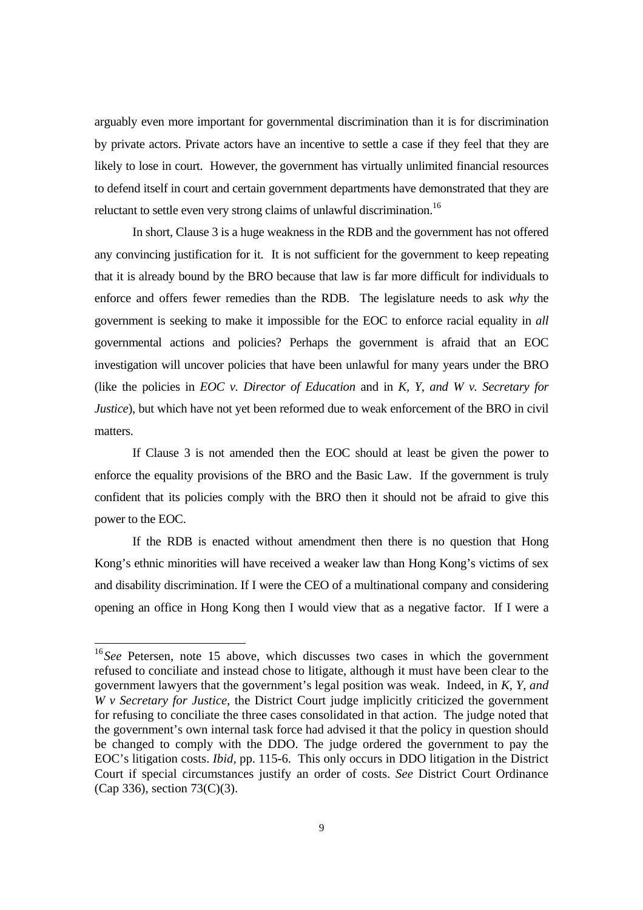arguably even more important for governmental discrimination than it is for discrimination by private actors. Private actors have an incentive to settle a case if they feel that they are likely to lose in court. However, the government has virtually unlimited financial resources to defend itself in court and certain government departments have demonstrated that they are reluctant to settle even very strong claims of unlawful discrimination.<sup>16</sup>

 In short, Clause 3 is a huge weakness in the RDB and the government has not offered any convincing justification for it. It is not sufficient for the government to keep repeating that it is already bound by the BRO because that law is far more difficult for individuals to enforce and offers fewer remedies than the RDB. The legislature needs to ask *why* the government is seeking to make it impossible for the EOC to enforce racial equality in *all*  governmental actions and policies? Perhaps the government is afraid that an EOC investigation will uncover policies that have been unlawful for many years under the BRO (like the policies in *EOC v. Director of Education* and in *K, Y, and W v. Secretary for Justice*), but which have not yet been reformed due to weak enforcement of the BRO in civil matters.

 If Clause 3 is not amended then the EOC should at least be given the power to enforce the equality provisions of the BRO and the Basic Law. If the government is truly confident that its policies comply with the BRO then it should not be afraid to give this power to the EOC.

 If the RDB is enacted without amendment then there is no question that Hong Kong's ethnic minorities will have received a weaker law than Hong Kong's victims of sex and disability discrimination. If I were the CEO of a multinational company and considering opening an office in Hong Kong then I would view that as a negative factor. If I were a

<sup>&</sup>lt;sup>16</sup> See Petersen, note 15 above, which discusses two cases in which the government refused to conciliate and instead chose to litigate, although it must have been clear to the government lawyers that the government's legal position was weak. Indeed, in *K, Y, and W v Secretary for Justice*, the District Court judge implicitly criticized the government for refusing to conciliate the three cases consolidated in that action. The judge noted that the government's own internal task force had advised it that the policy in question should be changed to comply with the DDO. The judge ordered the government to pay the EOC's litigation costs. *Ibid,* pp. 115-6. This only occurs in DDO litigation in the District Court if special circumstances justify an order of costs. *See* District Court Ordinance (Cap 336), section 73(C)(3).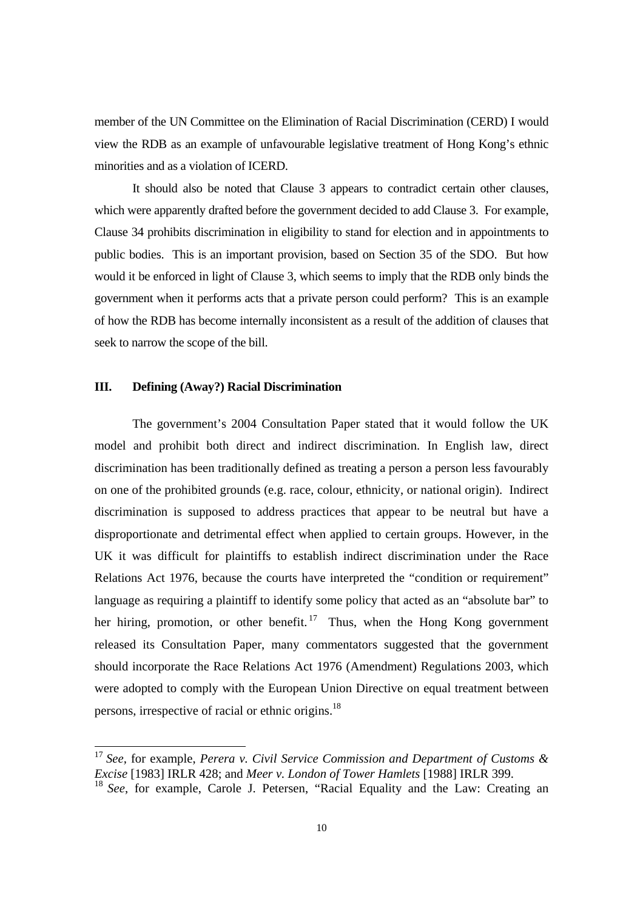member of the UN Committee on the Elimination of Racial Discrimination (CERD) I would view the RDB as an example of unfavourable legislative treatment of Hong Kong's ethnic minorities and as a violation of ICERD.

 It should also be noted that Clause 3 appears to contradict certain other clauses, which were apparently drafted before the government decided to add Clause 3. For example, Clause 34 prohibits discrimination in eligibility to stand for election and in appointments to public bodies. This is an important provision, based on Section 35 of the SDO. But how would it be enforced in light of Clause 3, which seems to imply that the RDB only binds the government when it performs acts that a private person could perform? This is an example of how the RDB has become internally inconsistent as a result of the addition of clauses that seek to narrow the scope of the bill.

# **III. Defining (Away?) Racial Discrimination**

 $\overline{a}$ 

 The government's 2004 Consultation Paper stated that it would follow the UK model and prohibit both direct and indirect discrimination. In English law, direct discrimination has been traditionally defined as treating a person a person less favourably on one of the prohibited grounds (e.g. race, colour, ethnicity, or national origin). Indirect discrimination is supposed to address practices that appear to be neutral but have a disproportionate and detrimental effect when applied to certain groups. However, in the UK it was difficult for plaintiffs to establish indirect discrimination under the Race Relations Act 1976, because the courts have interpreted the "condition or requirement" language as requiring a plaintiff to identify some policy that acted as an "absolute bar" to her hiring, promotion, or other benefit.<sup>17</sup> Thus, when the Hong Kong government released its Consultation Paper, many commentators suggested that the government should incorporate the Race Relations Act 1976 (Amendment) Regulations 2003, which were adopted to comply with the European Union Directive on equal treatment between persons, irrespective of racial or ethnic origins.18

<sup>17</sup> *See,* for example, *Perera v. Civil Service Commission and Department of Customs & Excise* [1983] IRLR 428; and *Meer v. London of Tower Hamlets* [1988] IRLR 399.

<sup>&</sup>lt;sup>18</sup> See, for example, Carole J. Petersen, "Racial Equality and the Law: Creating an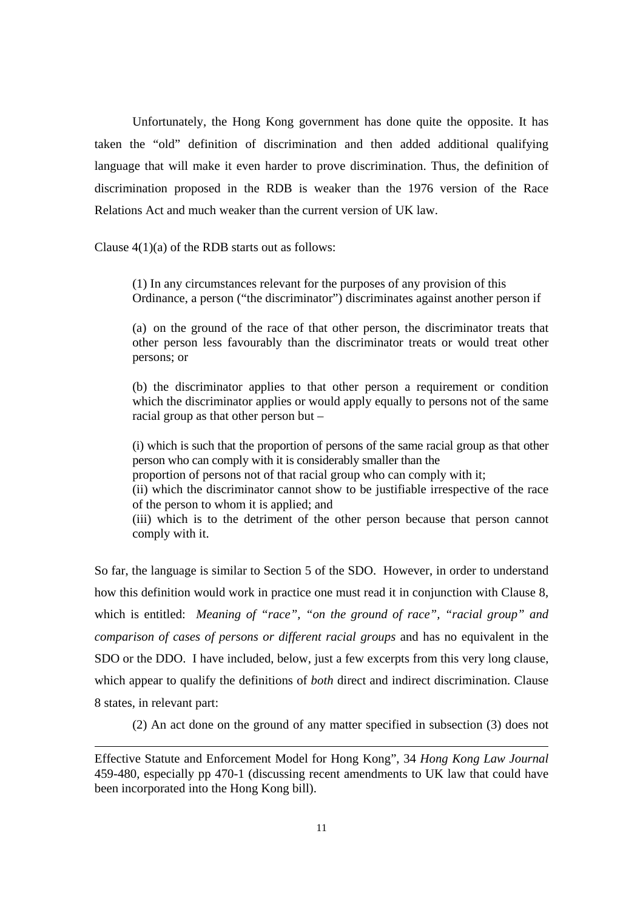Unfortunately, the Hong Kong government has done quite the opposite. It has taken the "old" definition of discrimination and then added additional qualifying language that will make it even harder to prove discrimination. Thus, the definition of discrimination proposed in the RDB is weaker than the 1976 version of the Race Relations Act and much weaker than the current version of UK law.

Clause  $4(1)(a)$  of the RDB starts out as follows:

 $\overline{a}$ 

(1) In any circumstances relevant for the purposes of any provision of this Ordinance, a person ("the discriminator") discriminates against another person if

(a) on the ground of the race of that other person, the discriminator treats that other person less favourably than the discriminator treats or would treat other persons; or

(b) the discriminator applies to that other person a requirement or condition which the discriminator applies or would apply equally to persons not of the same racial group as that other person but –

(i) which is such that the proportion of persons of the same racial group as that other person who can comply with it is considerably smaller than the

proportion of persons not of that racial group who can comply with it;

(ii) which the discriminator cannot show to be justifiable irrespective of the race of the person to whom it is applied; and

(iii) which is to the detriment of the other person because that person cannot comply with it.

So far, the language is similar to Section 5 of the SDO. However, in order to understand how this definition would work in practice one must read it in conjunction with Clause 8, which is entitled: *Meaning of "race", "on the ground of race", "racial group" and comparison of cases of persons or different racial groups* and has no equivalent in the SDO or the DDO. I have included, below, just a few excerpts from this very long clause, which appear to qualify the definitions of *both* direct and indirect discrimination. Clause 8 states, in relevant part:

(2) An act done on the ground of any matter specified in subsection (3) does not

Effective Statute and Enforcement Model for Hong Kong", 34 *Hong Kong Law Journal*  459-480, especially pp 470-1 (discussing recent amendments to UK law that could have been incorporated into the Hong Kong bill).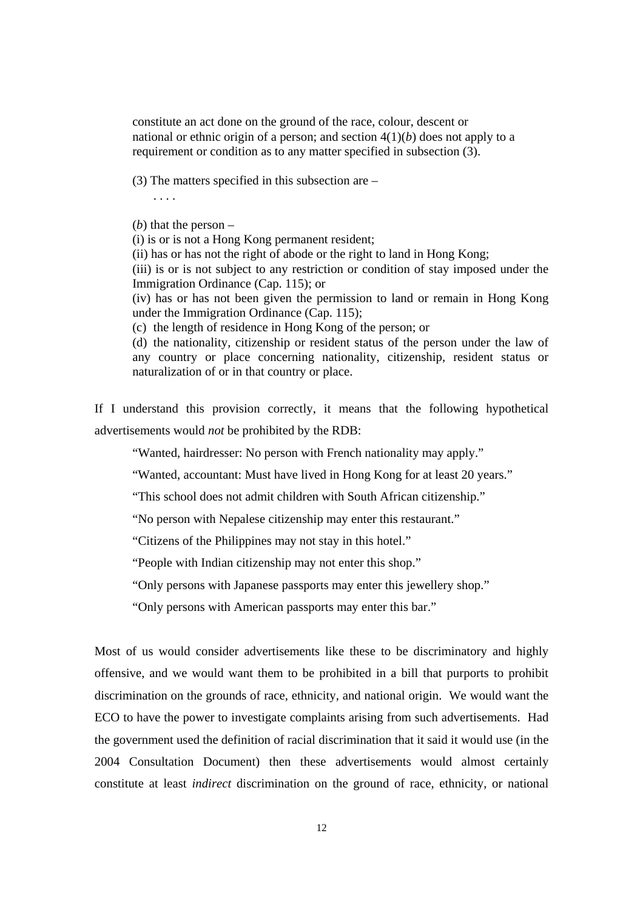constitute an act done on the ground of the race, colour, descent or national or ethnic origin of a person; and section 4(1)(*b*) does not apply to a requirement or condition as to any matter specified in subsection (3).

(3) The matters specified in this subsection are –

. . . .

(*b*) that the person –

(i) is or is not a Hong Kong permanent resident;

(ii) has or has not the right of abode or the right to land in Hong Kong;

(iii) is or is not subject to any restriction or condition of stay imposed under the Immigration Ordinance (Cap. 115); or

(iv) has or has not been given the permission to land or remain in Hong Kong under the Immigration Ordinance (Cap. 115);

(c) the length of residence in Hong Kong of the person; or

(d) the nationality, citizenship or resident status of the person under the law of any country or place concerning nationality, citizenship, resident status or naturalization of or in that country or place.

If I understand this provision correctly, it means that the following hypothetical advertisements would *not* be prohibited by the RDB:

"Wanted, hairdresser: No person with French nationality may apply."

"Wanted, accountant: Must have lived in Hong Kong for at least 20 years."

"This school does not admit children with South African citizenship."

"No person with Nepalese citizenship may enter this restaurant."

"Citizens of the Philippines may not stay in this hotel."

"People with Indian citizenship may not enter this shop."

"Only persons with Japanese passports may enter this jewellery shop."

"Only persons with American passports may enter this bar."

Most of us would consider advertisements like these to be discriminatory and highly offensive, and we would want them to be prohibited in a bill that purports to prohibit discrimination on the grounds of race, ethnicity, and national origin. We would want the ECO to have the power to investigate complaints arising from such advertisements. Had the government used the definition of racial discrimination that it said it would use (in the 2004 Consultation Document) then these advertisements would almost certainly constitute at least *indirect* discrimination on the ground of race, ethnicity, or national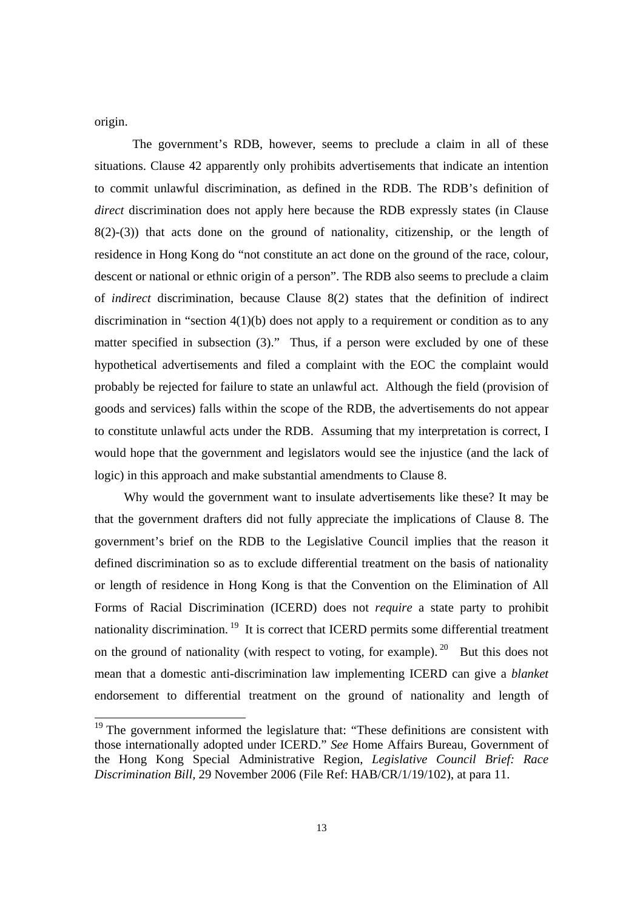origin.

 $\overline{a}$ 

The government's RDB, however, seems to preclude a claim in all of these situations. Clause 42 apparently only prohibits advertisements that indicate an intention to commit unlawful discrimination, as defined in the RDB. The RDB's definition of *direct* discrimination does not apply here because the RDB expressly states (in Clause 8(2)-(3)) that acts done on the ground of nationality, citizenship, or the length of residence in Hong Kong do "not constitute an act done on the ground of the race, colour, descent or national or ethnic origin of a person". The RDB also seems to preclude a claim of *indirect* discrimination, because Clause 8(2) states that the definition of indirect discrimination in "section  $4(1)(b)$  does not apply to a requirement or condition as to any matter specified in subsection (3)." Thus, if a person were excluded by one of these hypothetical advertisements and filed a complaint with the EOC the complaint would probably be rejected for failure to state an unlawful act. Although the field (provision of goods and services) falls within the scope of the RDB, the advertisements do not appear to constitute unlawful acts under the RDB. Assuming that my interpretation is correct, I would hope that the government and legislators would see the injustice (and the lack of logic) in this approach and make substantial amendments to Clause 8.

 Why would the government want to insulate advertisements like these? It may be that the government drafters did not fully appreciate the implications of Clause 8. The government's brief on the RDB to the Legislative Council implies that the reason it defined discrimination so as to exclude differential treatment on the basis of nationality or length of residence in Hong Kong is that the Convention on the Elimination of All Forms of Racial Discrimination (ICERD) does not *require* a state party to prohibit nationality discrimination.<sup>19</sup> It is correct that ICERD permits some differential treatment on the ground of nationality (with respect to voting, for example). <sup>20</sup> But this does not mean that a domestic anti-discrimination law implementing ICERD can give a *blanket*  endorsement to differential treatment on the ground of nationality and length of

<sup>&</sup>lt;sup>19</sup> The government informed the legislature that: "These definitions are consistent with those internationally adopted under ICERD." *See* Home Affairs Bureau, Government of the Hong Kong Special Administrative Region, *Legislative Council Brief: Race Discrimination Bill,* 29 November 2006 (File Ref: HAB/CR/1/19/102), at para 11.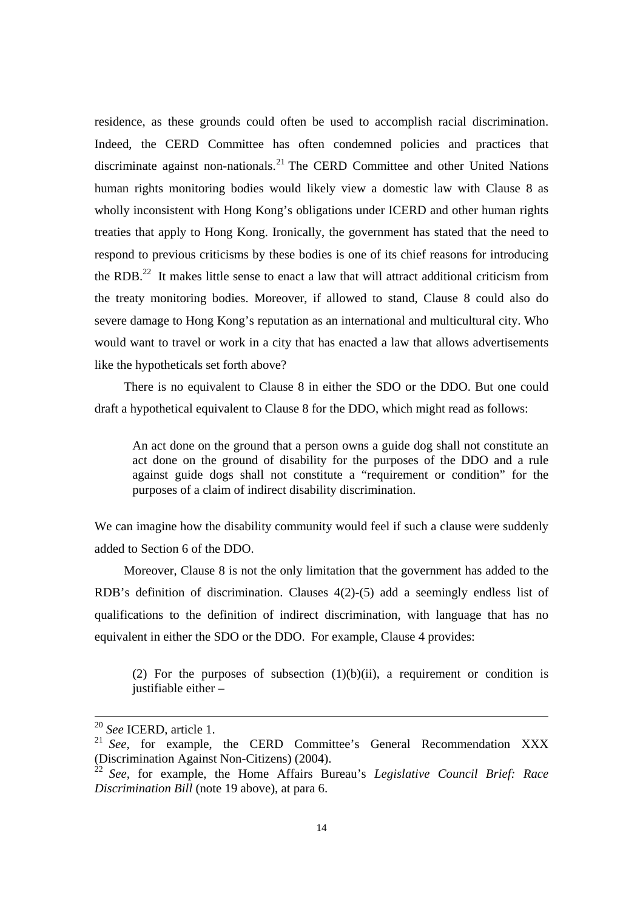residence, as these grounds could often be used to accomplish racial discrimination. Indeed, the CERD Committee has often condemned policies and practices that discriminate against non-nationals.<sup>21</sup> The CERD Committee and other United Nations human rights monitoring bodies would likely view a domestic law with Clause 8 as wholly inconsistent with Hong Kong's obligations under ICERD and other human rights treaties that apply to Hong Kong. Ironically, the government has stated that the need to respond to previous criticisms by these bodies is one of its chief reasons for introducing the RDB.<sup>22</sup> It makes little sense to enact a law that will attract additional criticism from the treaty monitoring bodies. Moreover, if allowed to stand, Clause 8 could also do severe damage to Hong Kong's reputation as an international and multicultural city. Who would want to travel or work in a city that has enacted a law that allows advertisements like the hypotheticals set forth above?

There is no equivalent to Clause 8 in either the SDO or the DDO. But one could draft a hypothetical equivalent to Clause 8 for the DDO, which might read as follows:

An act done on the ground that a person owns a guide dog shall not constitute an act done on the ground of disability for the purposes of the DDO and a rule against guide dogs shall not constitute a "requirement or condition" for the purposes of a claim of indirect disability discrimination.

We can imagine how the disability community would feel if such a clause were suddenly added to Section 6 of the DDO.

 Moreover, Clause 8 is not the only limitation that the government has added to the RDB's definition of discrimination. Clauses 4(2)-(5) add a seemingly endless list of qualifications to the definition of indirect discrimination, with language that has no equivalent in either the SDO or the DDO. For example, Clause 4 provides:

(2) For the purposes of subsection  $(1)(b)(ii)$ , a requirement or condition is justifiable either –

 <sup>20</sup> *See* ICERD, article 1.

<sup>&</sup>lt;sup>21</sup> *See*, for example, the CERD Committee's General Recommendation XXX (Discrimination Against Non-Citizens) (2004).

<sup>22</sup> *See,* for example, the Home Affairs Bureau's *Legislative Council Brief: Race Discrimination Bill* (note 19 above), at para 6.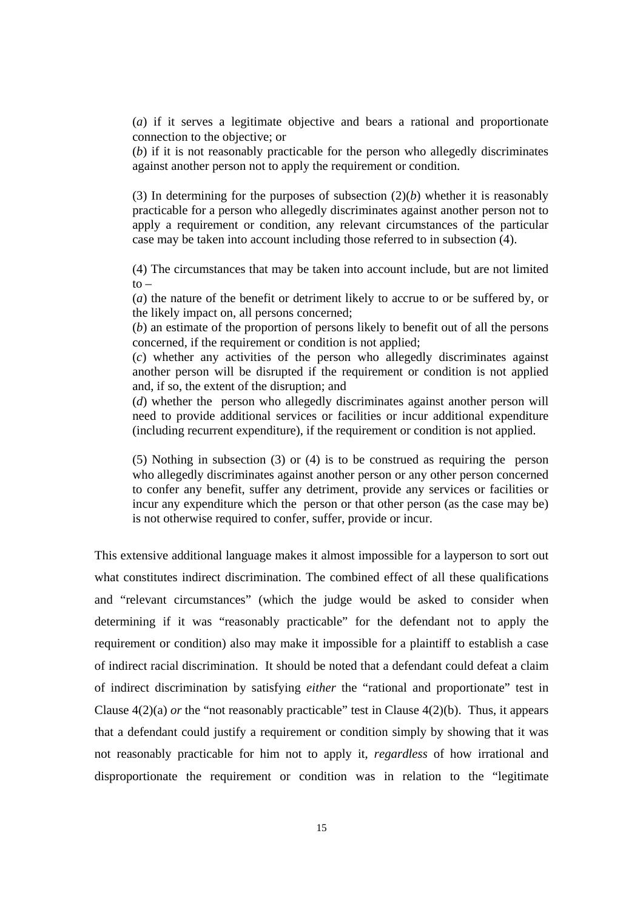(*a*) if it serves a legitimate objective and bears a rational and proportionate connection to the objective; or

(*b*) if it is not reasonably practicable for the person who allegedly discriminates against another person not to apply the requirement or condition.

(3) In determining for the purposes of subsection (2)(*b*) whether it is reasonably practicable for a person who allegedly discriminates against another person not to apply a requirement or condition, any relevant circumstances of the particular case may be taken into account including those referred to in subsection (4).

(4) The circumstances that may be taken into account include, but are not limited  $to -$ 

(*a*) the nature of the benefit or detriment likely to accrue to or be suffered by, or the likely impact on, all persons concerned;

(*b*) an estimate of the proportion of persons likely to benefit out of all the persons concerned, if the requirement or condition is not applied;

(*c*) whether any activities of the person who allegedly discriminates against another person will be disrupted if the requirement or condition is not applied and, if so, the extent of the disruption; and

(*d*) whether the person who allegedly discriminates against another person will need to provide additional services or facilities or incur additional expenditure (including recurrent expenditure), if the requirement or condition is not applied.

(5) Nothing in subsection (3) or (4) is to be construed as requiring the person who allegedly discriminates against another person or any other person concerned to confer any benefit, suffer any detriment, provide any services or facilities or incur any expenditure which the person or that other person (as the case may be) is not otherwise required to confer, suffer, provide or incur.

This extensive additional language makes it almost impossible for a layperson to sort out what constitutes indirect discrimination. The combined effect of all these qualifications and "relevant circumstances" (which the judge would be asked to consider when determining if it was "reasonably practicable" for the defendant not to apply the requirement or condition) also may make it impossible for a plaintiff to establish a case of indirect racial discrimination. It should be noted that a defendant could defeat a claim of indirect discrimination by satisfying *either* the "rational and proportionate" test in Clause 4(2)(a) *or* the "not reasonably practicable" test in Clause 4(2)(b). Thus, it appears that a defendant could justify a requirement or condition simply by showing that it was not reasonably practicable for him not to apply it, *regardless* of how irrational and disproportionate the requirement or condition was in relation to the "legitimate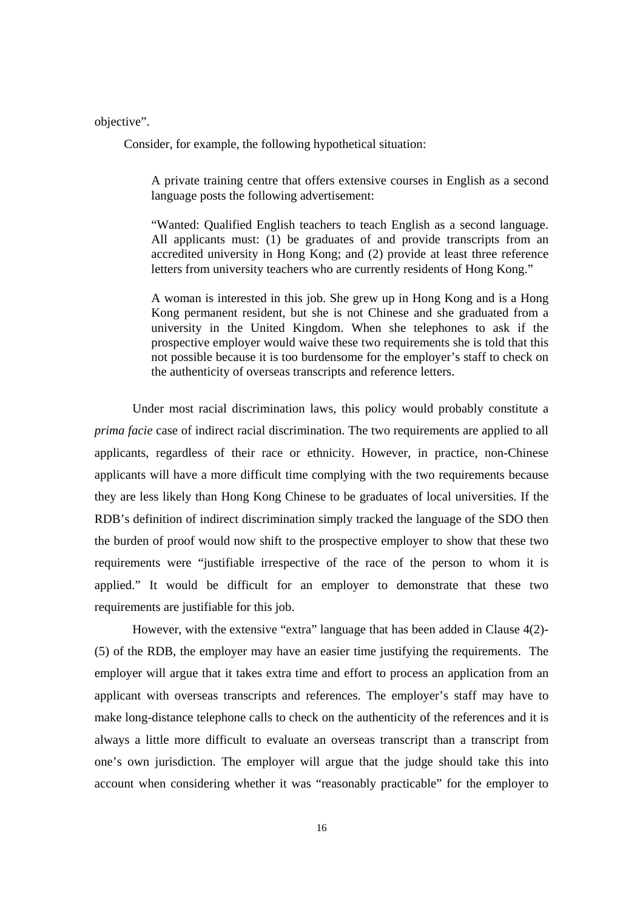objective".

Consider, for example, the following hypothetical situation:

A private training centre that offers extensive courses in English as a second language posts the following advertisement:

"Wanted: Qualified English teachers to teach English as a second language. All applicants must: (1) be graduates of and provide transcripts from an accredited university in Hong Kong; and (2) provide at least three reference letters from university teachers who are currently residents of Hong Kong."

A woman is interested in this job. She grew up in Hong Kong and is a Hong Kong permanent resident, but she is not Chinese and she graduated from a university in the United Kingdom. When she telephones to ask if the prospective employer would waive these two requirements she is told that this not possible because it is too burdensome for the employer's staff to check on the authenticity of overseas transcripts and reference letters.

Under most racial discrimination laws, this policy would probably constitute a *prima facie* case of indirect racial discrimination. The two requirements are applied to all applicants, regardless of their race or ethnicity. However, in practice, non-Chinese applicants will have a more difficult time complying with the two requirements because they are less likely than Hong Kong Chinese to be graduates of local universities. If the RDB's definition of indirect discrimination simply tracked the language of the SDO then the burden of proof would now shift to the prospective employer to show that these two requirements were "justifiable irrespective of the race of the person to whom it is applied." It would be difficult for an employer to demonstrate that these two requirements are justifiable for this job.

 However, with the extensive "extra" language that has been added in Clause 4(2)- (5) of the RDB, the employer may have an easier time justifying the requirements. The employer will argue that it takes extra time and effort to process an application from an applicant with overseas transcripts and references. The employer's staff may have to make long-distance telephone calls to check on the authenticity of the references and it is always a little more difficult to evaluate an overseas transcript than a transcript from one's own jurisdiction. The employer will argue that the judge should take this into account when considering whether it was "reasonably practicable" for the employer to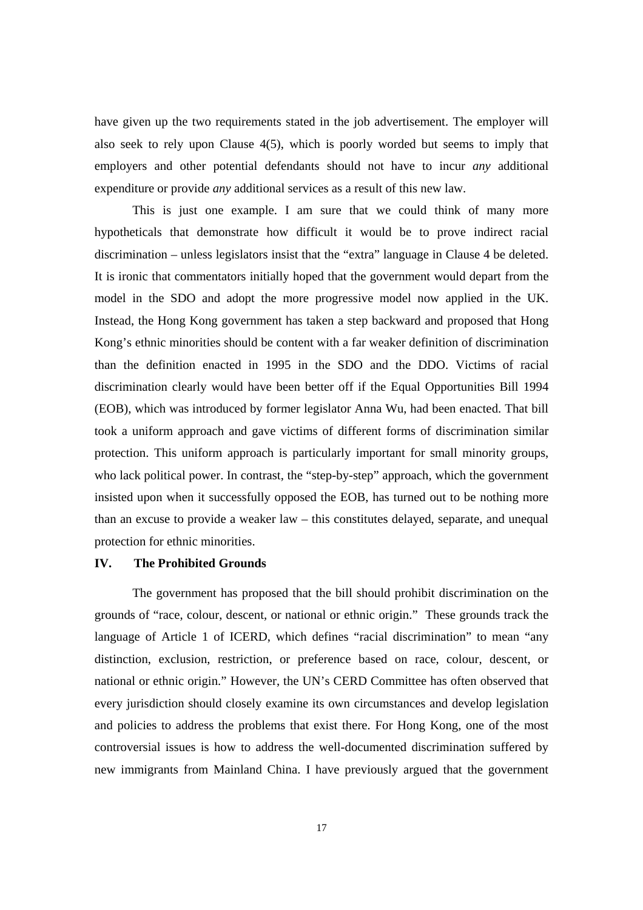have given up the two requirements stated in the job advertisement. The employer will also seek to rely upon Clause 4(5), which is poorly worded but seems to imply that employers and other potential defendants should not have to incur *any* additional expenditure or provide *any* additional services as a result of this new law.

 This is just one example. I am sure that we could think of many more hypotheticals that demonstrate how difficult it would be to prove indirect racial discrimination – unless legislators insist that the "extra" language in Clause 4 be deleted. It is ironic that commentators initially hoped that the government would depart from the model in the SDO and adopt the more progressive model now applied in the UK. Instead, the Hong Kong government has taken a step backward and proposed that Hong Kong's ethnic minorities should be content with a far weaker definition of discrimination than the definition enacted in 1995 in the SDO and the DDO. Victims of racial discrimination clearly would have been better off if the Equal Opportunities Bill 1994 (EOB), which was introduced by former legislator Anna Wu, had been enacted. That bill took a uniform approach and gave victims of different forms of discrimination similar protection. This uniform approach is particularly important for small minority groups, who lack political power. In contrast, the "step-by-step" approach, which the government insisted upon when it successfully opposed the EOB, has turned out to be nothing more than an excuse to provide a weaker law – this constitutes delayed, separate, and unequal protection for ethnic minorities.

## **IV. The Prohibited Grounds**

 The government has proposed that the bill should prohibit discrimination on the grounds of "race, colour, descent, or national or ethnic origin." These grounds track the language of Article 1 of ICERD, which defines "racial discrimination" to mean "any distinction, exclusion, restriction, or preference based on race, colour, descent, or national or ethnic origin." However, the UN's CERD Committee has often observed that every jurisdiction should closely examine its own circumstances and develop legislation and policies to address the problems that exist there. For Hong Kong, one of the most controversial issues is how to address the well-documented discrimination suffered by new immigrants from Mainland China. I have previously argued that the government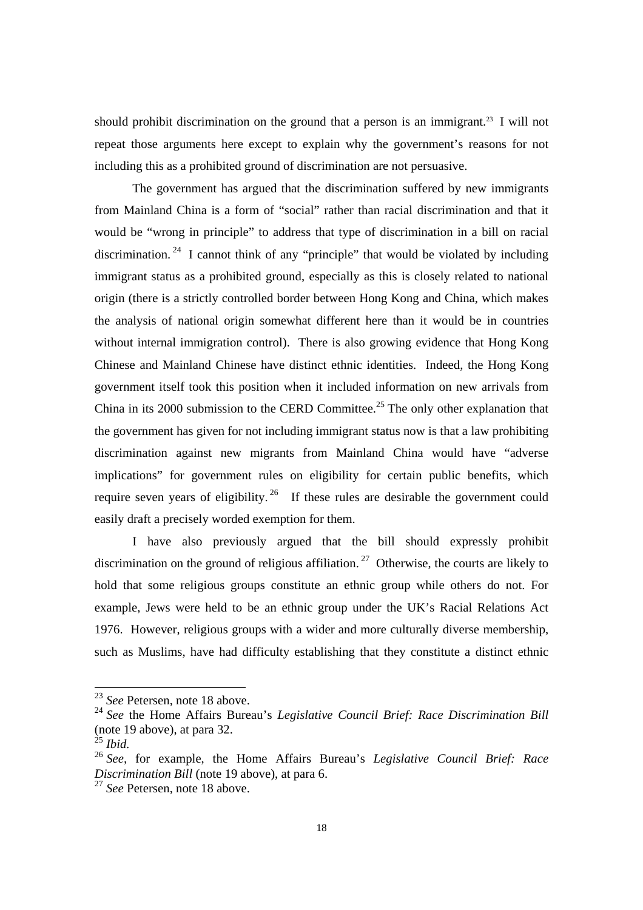should prohibit discrimination on the ground that a person is an immigrant.<sup>23</sup> I will not repeat those arguments here except to explain why the government's reasons for not including this as a prohibited ground of discrimination are not persuasive.

 The government has argued that the discrimination suffered by new immigrants from Mainland China is a form of "social" rather than racial discrimination and that it would be "wrong in principle" to address that type of discrimination in a bill on racial discrimination. <sup>24</sup> I cannot think of any "principle" that would be violated by including immigrant status as a prohibited ground, especially as this is closely related to national origin (there is a strictly controlled border between Hong Kong and China, which makes the analysis of national origin somewhat different here than it would be in countries without internal immigration control). There is also growing evidence that Hong Kong Chinese and Mainland Chinese have distinct ethnic identities. Indeed, the Hong Kong government itself took this position when it included information on new arrivals from China in its 2000 submission to the CERD Committee.<sup>25</sup> The only other explanation that the government has given for not including immigrant status now is that a law prohibiting discrimination against new migrants from Mainland China would have "adverse implications" for government rules on eligibility for certain public benefits, which require seven years of eligibility.<sup>26</sup> If these rules are desirable the government could easily draft a precisely worded exemption for them.

 I have also previously argued that the bill should expressly prohibit discrimination on the ground of religious affiliation.<sup>27</sup> Otherwise, the courts are likely to hold that some religious groups constitute an ethnic group while others do not. For example, Jews were held to be an ethnic group under the UK's Racial Relations Act 1976. However, religious groups with a wider and more culturally diverse membership, such as Muslims, have had difficulty establishing that they constitute a distinct ethnic

<sup>23</sup> *See* Petersen, note 18 above.

<sup>24</sup> *See* the Home Affairs Bureau's *Legislative Council Brief: Race Discrimination Bill*  (note 19 above), at para 32.

<sup>25</sup> *Ibid.* 

<sup>26</sup> *See,* for example, the Home Affairs Bureau's *Legislative Council Brief: Race Discrimination Bill* (note 19 above), at para 6.

<sup>27</sup> *See* Petersen, note 18 above.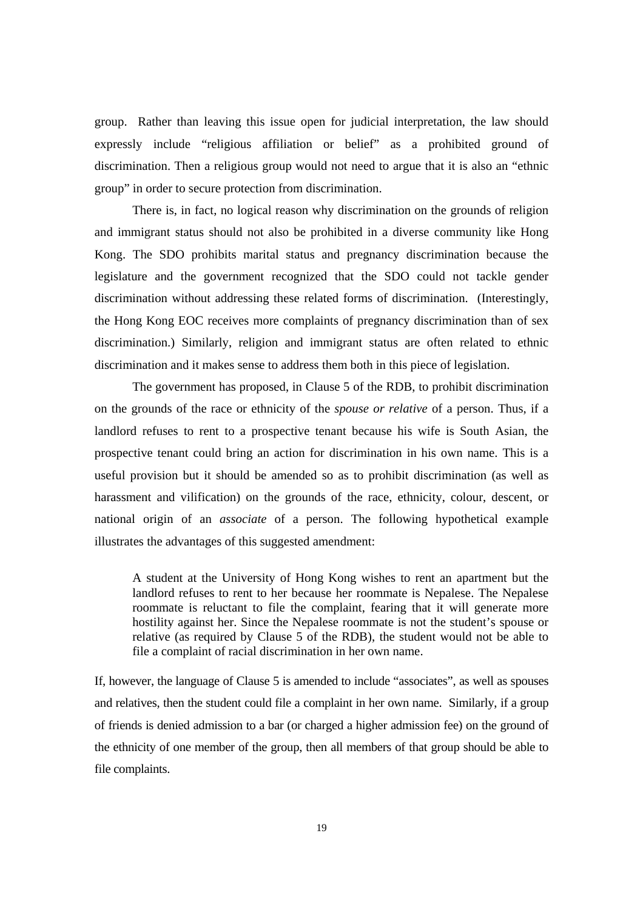group. Rather than leaving this issue open for judicial interpretation, the law should expressly include "religious affiliation or belief" as a prohibited ground of discrimination. Then a religious group would not need to argue that it is also an "ethnic group" in order to secure protection from discrimination.

 There is, in fact, no logical reason why discrimination on the grounds of religion and immigrant status should not also be prohibited in a diverse community like Hong Kong. The SDO prohibits marital status and pregnancy discrimination because the legislature and the government recognized that the SDO could not tackle gender discrimination without addressing these related forms of discrimination. (Interestingly, the Hong Kong EOC receives more complaints of pregnancy discrimination than of sex discrimination.) Similarly, religion and immigrant status are often related to ethnic discrimination and it makes sense to address them both in this piece of legislation.

The government has proposed, in Clause 5 of the RDB, to prohibit discrimination on the grounds of the race or ethnicity of the *spouse or relative* of a person. Thus, if a landlord refuses to rent to a prospective tenant because his wife is South Asian, the prospective tenant could bring an action for discrimination in his own name. This is a useful provision but it should be amended so as to prohibit discrimination (as well as harassment and vilification) on the grounds of the race, ethnicity, colour, descent, or national origin of an *associate* of a person. The following hypothetical example illustrates the advantages of this suggested amendment:

A student at the University of Hong Kong wishes to rent an apartment but the landlord refuses to rent to her because her roommate is Nepalese. The Nepalese roommate is reluctant to file the complaint, fearing that it will generate more hostility against her. Since the Nepalese roommate is not the student's spouse or relative (as required by Clause 5 of the RDB), the student would not be able to file a complaint of racial discrimination in her own name.

If, however, the language of Clause 5 is amended to include "associates", as well as spouses and relatives, then the student could file a complaint in her own name. Similarly, if a group of friends is denied admission to a bar (or charged a higher admission fee) on the ground of the ethnicity of one member of the group, then all members of that group should be able to file complaints.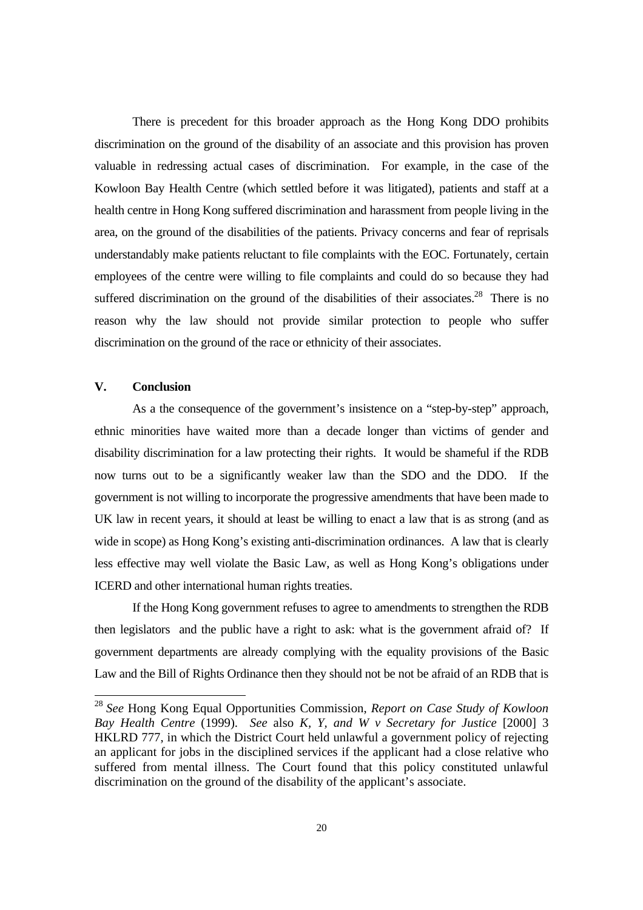There is precedent for this broader approach as the Hong Kong DDO prohibits discrimination on the ground of the disability of an associate and this provision has proven valuable in redressing actual cases of discrimination. For example, in the case of the Kowloon Bay Health Centre (which settled before it was litigated), patients and staff at a health centre in Hong Kong suffered discrimination and harassment from people living in the area, on the ground of the disabilities of the patients. Privacy concerns and fear of reprisals understandably make patients reluctant to file complaints with the EOC. Fortunately, certain employees of the centre were willing to file complaints and could do so because they had suffered discrimination on the ground of the disabilities of their associates.<sup>28</sup> There is no reason why the law should not provide similar protection to people who suffer discrimination on the ground of the race or ethnicity of their associates.

### **V. Conclusion**

l

As a the consequence of the government's insistence on a "step-by-step" approach, ethnic minorities have waited more than a decade longer than victims of gender and disability discrimination for a law protecting their rights. It would be shameful if the RDB now turns out to be a significantly weaker law than the SDO and the DDO. If the government is not willing to incorporate the progressive amendments that have been made to UK law in recent years, it should at least be willing to enact a law that is as strong (and as wide in scope) as Hong Kong's existing anti-discrimination ordinances. A law that is clearly less effective may well violate the Basic Law, as well as Hong Kong's obligations under ICERD and other international human rights treaties.

If the Hong Kong government refuses to agree to amendments to strengthen the RDB then legislators and the public have a right to ask: what is the government afraid of? If government departments are already complying with the equality provisions of the Basic Law and the Bill of Rights Ordinance then they should not be not be afraid of an RDB that is

<sup>28</sup> *See* Hong Kong Equal Opportunities Commission, *Report on Case Study of Kowloon Bay Health Centre* (1999). *See* also *K, Y, and W v Secretary for Justice* [2000] 3 HKLRD 777, in which the District Court held unlawful a government policy of rejecting an applicant for jobs in the disciplined services if the applicant had a close relative who suffered from mental illness. The Court found that this policy constituted unlawful discrimination on the ground of the disability of the applicant's associate.